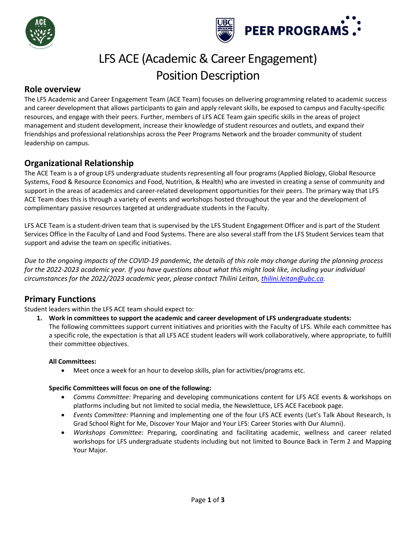



# LFS ACE (Academic & Career Engagement) Position Description

## **Role overview**

The LFS Academic and Career Engagement Team (ACE Team) focuses on delivering programming related to academic success and career development that allows participants to gain and apply relevant skills, be exposed to campus and Faculty-specific resources, and engage with their peers. Further, members of LFS ACE Team gain specific skills in the areas of project management and student development, increase their knowledge of student resources and outlets, and expand their friendships and professional relationships across the Peer Programs Network and the broader community of student leadership on campus.

# **Organizational Relationship**

The ACE Team is a of group LFS undergraduate students representing all four programs (Applied Biology, Global Resource Systems, Food & Resource Economics and Food, Nutrition, & Health) who are invested in creating a sense of community and support in the areas of academics and career-related development opportunities for their peers. The primary way that LFS ACE Team does this is through a variety of events and workshops hosted throughout the year and the development of complimentary passive resources targeted at undergraduate students in the Faculty.

LFS ACE Team is a student-driven team that is supervised by the LFS Student Engagement Officer and is part of the Student Services Office in the Faculty of Land and Food Systems. There are also several staff from the LFS Student Services team that support and advise the team on specific initiatives.

*Due to the ongoing impacts of the COVID-19 pandemic, the details of this role may change during the planning process for the 2022-2023 academic year. If you have questions about what this might look like, including your individual circumstances for the 2022/2023 academic year, please contact Thilini Leitan[, thilini.leitan@ubc.ca.](mailto:thilini.leitan@ubc.ca)* 

# **Primary Functions**

Student leaders within the LFS ACE team should expect to:

**1. Work in committees to support the academic and career development of LFS undergraduate students:**  The following committees support current initiatives and priorities with the Faculty of LFS. While each committee has a specific role, the expectation is that all LFS ACE student leaders will work collaboratively, where appropriate, to fulfill their committee objectives.

#### **All Committees:**

• Meet once a week for an hour to develop skills, plan for activities/programs etc.

#### **Specific Committees will focus on one of the following:**

- *Comms Committee*: Preparing and developing communications content for LFS ACE events & workshops on platforms including but not limited to social media, the Newslettuce, LFS ACE Facebook page.
- *Events Committee:* Planning and implementing one of the four LFS ACE events (Let's Talk About Research, Is Grad School Right for Me, Discover Your Major and Your LFS: Career Stories with Our Alumni).
- *Workshops Committee:* Preparing, coordinating and facilitating academic, wellness and career related workshops for LFS undergraduate students including but not limited to Bounce Back in Term 2 and Mapping Your Major.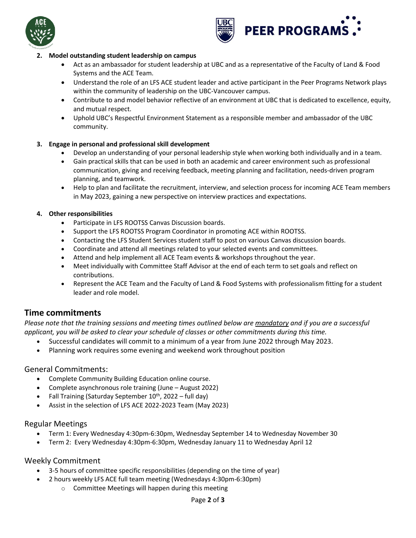



#### **2. Model outstanding student leadership on campus**

- Act as an ambassador for student leadership at UBC and as a representative of the Faculty of Land & Food Systems and the ACE Team.
- Understand the role of an LFS ACE student leader and active participant in the Peer Programs Network plays within the community of leadership on the UBC-Vancouver campus.
- Contribute to and model behavior reflective of an environment at UBC that is dedicated to excellence, equity, and mutual respect.
- Uphold UBC's Respectful Environment Statement as a responsible member and ambassador of the UBC community.

#### **3. Engage in personal and professional skill development**

- Develop an understanding of your personal leadership style when working both individually and in a team.
- Gain practical skills that can be used in both an academic and career environment such as professional communication, giving and receiving feedback, meeting planning and facilitation, needs-driven program planning, and teamwork.
- Help to plan and facilitate the recruitment, interview, and selection process for incoming ACE Team members in May 2023, gaining a new perspective on interview practices and expectations.

#### **4. Other responsibilities**

- Participate in LFS ROOTSS Canvas Discussion boards.
- Support the LFS ROOTSS Program Coordinator in promoting ACE within ROOTSS.
- Contacting the LFS Student Services student staff to post on various Canvas discussion boards.
- Coordinate and attend all meetings related to your selected events and committees.
- Attend and help implement all ACE Team events & workshops throughout the year.
- Meet individually with Committee Staff Advisor at the end of each term to set goals and reflect on contributions.
- Represent the ACE Team and the Faculty of Land & Food Systems with professionalism fitting for a student leader and role model.

### **Time commitments**

*Please note that the training sessions and meeting times outlined below are mandatory and if you are a successful applicant, you will be asked to clear your schedule of classes or other commitments during this time.*

- Successful candidates will commit to a minimum of a year from June 2022 through May 2023.
- Planning work requires some evening and weekend work throughout position

#### General Commitments:

- Complete Community Building Education online course.
- Complete asynchronous role training (June August 2022)
- Fall Training (Saturday September 10<sup>th</sup>, 2022 full day)
- Assist in the selection of LFS ACE 2022-2023 Team (May 2023)

#### Regular Meetings

- Term 1: Every Wednesday 4:30pm-6:30pm, Wednesday September 14 to Wednesday November 30
- Term 2: Every Wednesday 4:30pm-6:30pm, Wednesday January 11 to Wednesday April 12

#### Weekly Commitment

- 3-5 hours of committee specific responsibilities (depending on the time of year)
	- 2 hours weekly LFS ACE full team meeting (Wednesdays 4:30pm-6:30pm)
		- o Committee Meetings will happen during this meeting